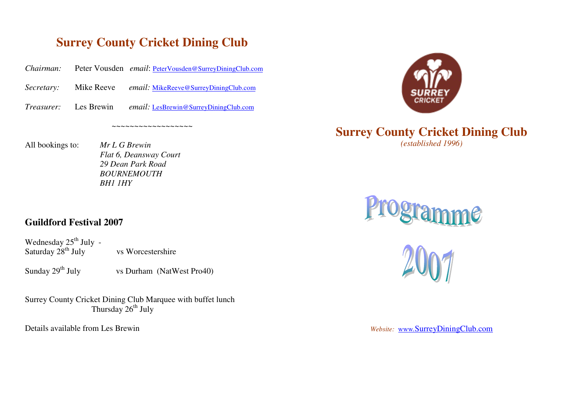## **Surrey County Cricket Dining Club**

~~~~~~~~~~~~~~~~~~

*Chairman:*Peter Vousden *email*: PeterVousden@SurreyDiningClub.com

*Secretary:* Mike Reeve *email:* MikeReeve@SurreyDiningClub.com

*Treasurer:* Les Brewin*email:* LesBrewin@SurreyDiningClub.com

All bookings to:

 bookings to: *Mr L G Brewin Flat 6, Deansway Court 29 Dean Park Road BOURNEMOUTHBH1 1HY*

## **Surrey County Cricket Dining Club** *(established 1996)*





## **Guildford Festival 2007**

Wednesday  $25^{th}$  July -Saturday  $28<sup>th</sup>$  July vs Worcestershire

Sunday  $29^{th}$  July vs Durham (NatWest Pro40)

Surrey County Cricket Dining Club Marquee with buffet lunch Thursday  $26^{th}$  July

Details available from Les Brewin

*Website:* www*.*SurreyDiningClub.com